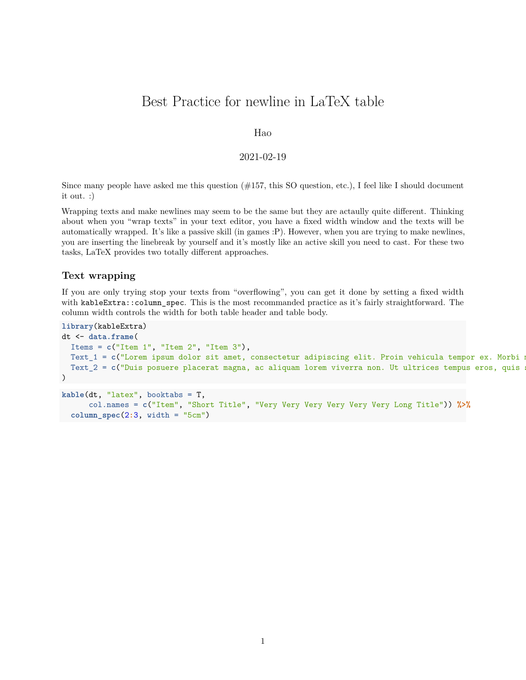# Best Practice for newline in LaTeX table

## Hao

## 2021-02-19

Since many people have asked me this question  $(\#157, \text{ this SO question}, \text{etc.})$ , I feel like I should document it out. :)

Wrapping texts and make newlines may seem to be the same but they are actaully quite different. Thinking about when you "wrap texts" in your text editor, you have a fixed width window and the texts will be automatically wrapped. It's like a passive skill (in games :P). However, when you are trying to make newlines, you are inserting the linebreak by yourself and it's mostly like an active skill you need to cast. For these two tasks, LaTeX provides two totally different approaches.

### **Text wrapping**

If you are only trying stop your texts from "overflowing", you can get it done by setting a fixed width with kableExtra::column\_spec. This is the most recommanded practice as it's fairly straightforward. The column width controls the width for both table header and table body.

```
library(kableExtra)
dt <- data.frame(
 Items = c("Item 1", "Item 2", "Item 3"),
 Text_1 = c("Lorem ipsum dolor sit amet, consectetur adipiscing elit. Proin vehicula tempor ex. Morbi m
 Text<sub>-2</sub> = c("Duis posuere placerat magna, ac aliquam lorem viverra non. Ut ultrices tempus eros, quis
)
kable(dt, "latex", booktabs = T,
```

```
col.names = c("Item", "Short Title", "Very Very Very Very Very Very Long Title")) %>%
column_spec(2:3, width = "5cm")
```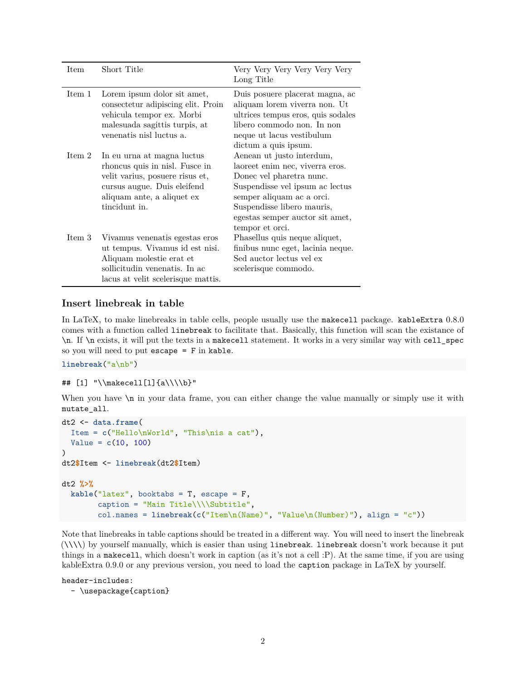| <b>Item</b> | Short Title                                                                                                                                                                   | Very Very Very Very Very<br>Long Title                                                                                                                                                                                                       |
|-------------|-------------------------------------------------------------------------------------------------------------------------------------------------------------------------------|----------------------------------------------------------------------------------------------------------------------------------------------------------------------------------------------------------------------------------------------|
| Item 1      | Lorem ipsum dolor sit amet,<br>consectetur adipiscing elit. Proin<br>vehicula tempor ex. Morbi<br>malesuada sagittis turpis, at<br>venenatis nisl luctus a.                   | Duis posuere placerat magna, ac<br>aliquam lorem viverra non. Ut<br>ultrices tempus eros, quis sodales<br>libero commodo non. In non-<br>neque ut lacus vestibulum<br>dictum a quis ipsum.                                                   |
| Item 2      | In eu urna at magna luctus<br>rhoncus quis in nisl. Fusce in<br>velit varius, posuere risus et,<br>cursus augue. Duis eleifend<br>aliquam ante, a aliquet ex<br>tincidunt in. | Aenean ut justo interdum,<br>laoreet enim nec, viverra eros.<br>Donec vel pharetra nunc.<br>Suspendisse vel ipsum ac lectus<br>semper aliquam ac a orci.<br>Suspendisse libero mauris,<br>egestas semper auctor sit amet,<br>tempor et orci. |
| Item 3      | Vivamus venenatis egestas eros<br>ut tempus. Vivamus id est nisi.<br>Aliquam molestie erat et<br>sollicitudin venenatis. In ac<br>lacus at velit scelerisque mattis.          | Phasellus quis neque aliquet,<br>finibus nunc eget, lacinia neque.<br>Sed auctor lectus vel ex<br>scelerisque commodo.                                                                                                                       |

# **Insert linebreak in table**

In LaTeX, to make linebreaks in table cells, people usually use the makecell package. kableExtra 0.8.0 comes with a function called linebreak to facilitate that. Basically, this function will scan the existance of \n. If \n exists, it will put the texts in a makecell statement. It works in a very similar way with cell\_spec so you will need to put escape = F in kable.

**linebreak**("a\nb")

```
## [1] "\\makecell[l]{a\\\\b}"
```
When you have  $\infty$  in your data frame, you can either change the value manually or simply use it with mutate\_all.

```
dt2 <- data.frame(
 Item = c("Hello\nWorld", "This\nis a cat"),
  Value = c(10, 100)
)
dt2$Item <- linebreak(dt2$Item)
dt2 %>%
 kable("latex", booktabs = T, escape = F,
        caption = "Main Title\\\\Subtitle",
        col.names = linebreak(c("Item\n(Name)", "Value\n(Number)"), align = "c"))
```
Note that linebreaks in table captions should be treated in a different way. You will need to insert the linebreak (\\\\) by yourself manually, which is easier than using linebreak. linebreak doesn't work because it put things in a makecell, which doesn't work in caption (as it's not a cell :P). At the same time, if you are using kableExtra 0.9.0 or any previous version, you need to load the caption package in LaTeX by yourself.

header-includes: - \usepackage{caption}